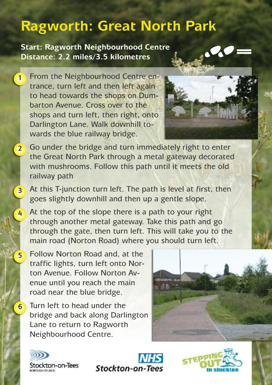## **Ragworth: Great North Park**

**Start: Ragworth Neighbourhood Centre Distance: 2.2 miles/3.5 kilometres**

From the Neighbourhood Centre entrance, turn left and then left again to head towards the shops on Dumbarton Avenue. Cross over to the shops and turn left, then right, onto Darlington Lane. Walk downhill towards the blue railway bridge.

**1**

**4**

**5**

**6**



- Go under the bridge and turn immediately right to enter the Great North Park through a metal gateway decorated with mushrooms. Follow this path until it meets the old railway path **2**
- At this T-junction turn left. The path is level at first, then goes slightly downhill and then up a gentle slope. **3**

At the top of the slope there is a path to your right through another metal gateway. Take this path and go through the gate, then turn left. This will take you to the main road (Norton Road) where you should turn left.

Follow Norton Road and, at the traffic lights, turn left onto Norton Avenue. Follow Norton Avenue until you reach the main road near the blue bridge.

Turn left to head under the bridge and back along Darlington Lane to return to Ragworth Neighbourhood Centre.